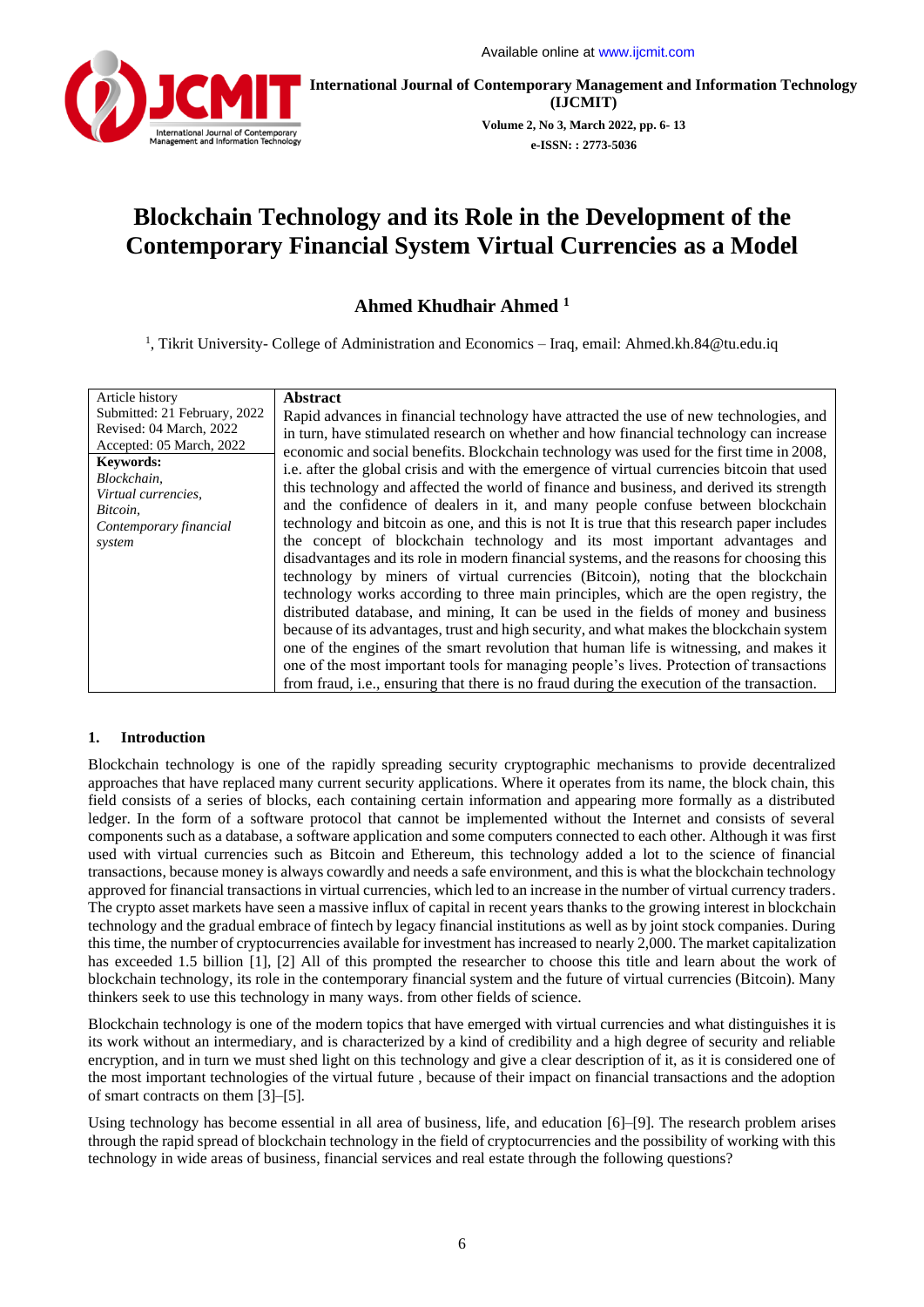

**International Journal of Contemporary Management and Information Technology (IJCMIT) Volume 2, No 3, March 2022, pp. 6- 13**

**e-ISSN: : 2773-5036**

# **Blockchain Technology and its Role in the Development of the Contemporary Financial System Virtual Currencies as a Model**

## **Ahmed Khudhair Ahmed <sup>1</sup>**

<sup>1</sup>, Tikrit University- College of Administration and Economics – Iraq, email: [Ahmed.kh.84@tu.edu.iq](mailto:Ahmed.kh.84@tu.edu.iq)

| Article history              | <b>Abstract</b>                                                                             |
|------------------------------|---------------------------------------------------------------------------------------------|
| Submitted: 21 February, 2022 | Rapid advances in financial technology have attracted the use of new technologies, and      |
| Revised: 04 March, 2022      | in turn, have stimulated research on whether and how financial technology can increase      |
| Accepted: 05 March, 2022     | economic and social benefits. Blockchain technology was used for the first time in 2008,    |
| <b>Keywords:</b>             | i.e. after the global crisis and with the emergence of virtual currencies bitcoin that used |
| Blockchain,                  | this technology and affected the world of finance and business, and derived its strength    |
| Virtual currencies,          | and the confidence of dealers in it, and many people confuse between blockchain             |
| Bitcoin,                     | technology and bitcoin as one, and this is not It is true that this research paper includes |
| Contemporary financial       | the concept of blockchain technology and its most important advantages and                  |
| system                       | disadvantages and its role in modern financial systems, and the reasons for choosing this   |
|                              | technology by miners of virtual currencies (Bitcoin), noting that the blockchain            |
|                              |                                                                                             |
|                              | technology works according to three main principles, which are the open registry, the       |
|                              | distributed database, and mining, It can be used in the fields of money and business        |
|                              | because of its advantages, trust and high security, and what makes the blockchain system    |
|                              | one of the engines of the smart revolution that human life is witnessing, and makes it      |
|                              | one of the most important tools for managing people's lives. Protection of transactions     |
|                              | from fraud, i.e., ensuring that there is no fraud during the execution of the transaction.  |

## **1. Introduction**

Blockchain technology is one of the rapidly spreading security cryptographic mechanisms to provide decentralized approaches that have replaced many current security applications. Where it operates from its name, the block chain, this field consists of a series of blocks, each containing certain information and appearing more formally as a distributed ledger. In the form of a software protocol that cannot be implemented without the Internet and consists of several components such as a database, a software application and some computers connected to each other. Although it was first used with virtual currencies such as Bitcoin and Ethereum, this technology added a lot to the science of financial transactions, because money is always cowardly and needs a safe environment, and this is what the blockchain technology approved for financial transactions in virtual currencies, which led to an increase in the number of virtual currency traders. The crypto asset markets have seen a massive influx of capital in recent years thanks to the growing interest in blockchain technology and the gradual embrace of fintech by legacy financial institutions as well as by joint stock companies. During this time, the number of cryptocurrencies available for investment has increased to nearly 2,000. The market capitalization has exceeded 1.5 billion [1], [2] All of this prompted the researcher to choose this title and learn about the work of blockchain technology, its role in the contemporary financial system and the future of virtual currencies (Bitcoin). Many thinkers seek to use this technology in many ways. from other fields of science.

Blockchain technology is one of the modern topics that have emerged with virtual currencies and what distinguishes it is its work without an intermediary, and is characterized by a kind of credibility and a high degree of security and reliable encryption, and in turn we must shed light on this technology and give a clear description of it, as it is considered one of the most important technologies of the virtual future , because of their impact on financial transactions and the adoption of smart contracts on them [3]–[5].

Using technology has become essential in all area of business, life, and education [6]–[9]. The research problem arises through the rapid spread of blockchain technology in the field of cryptocurrencies and the possibility of working with this technology in wide areas of business, financial services and real estate through the following questions?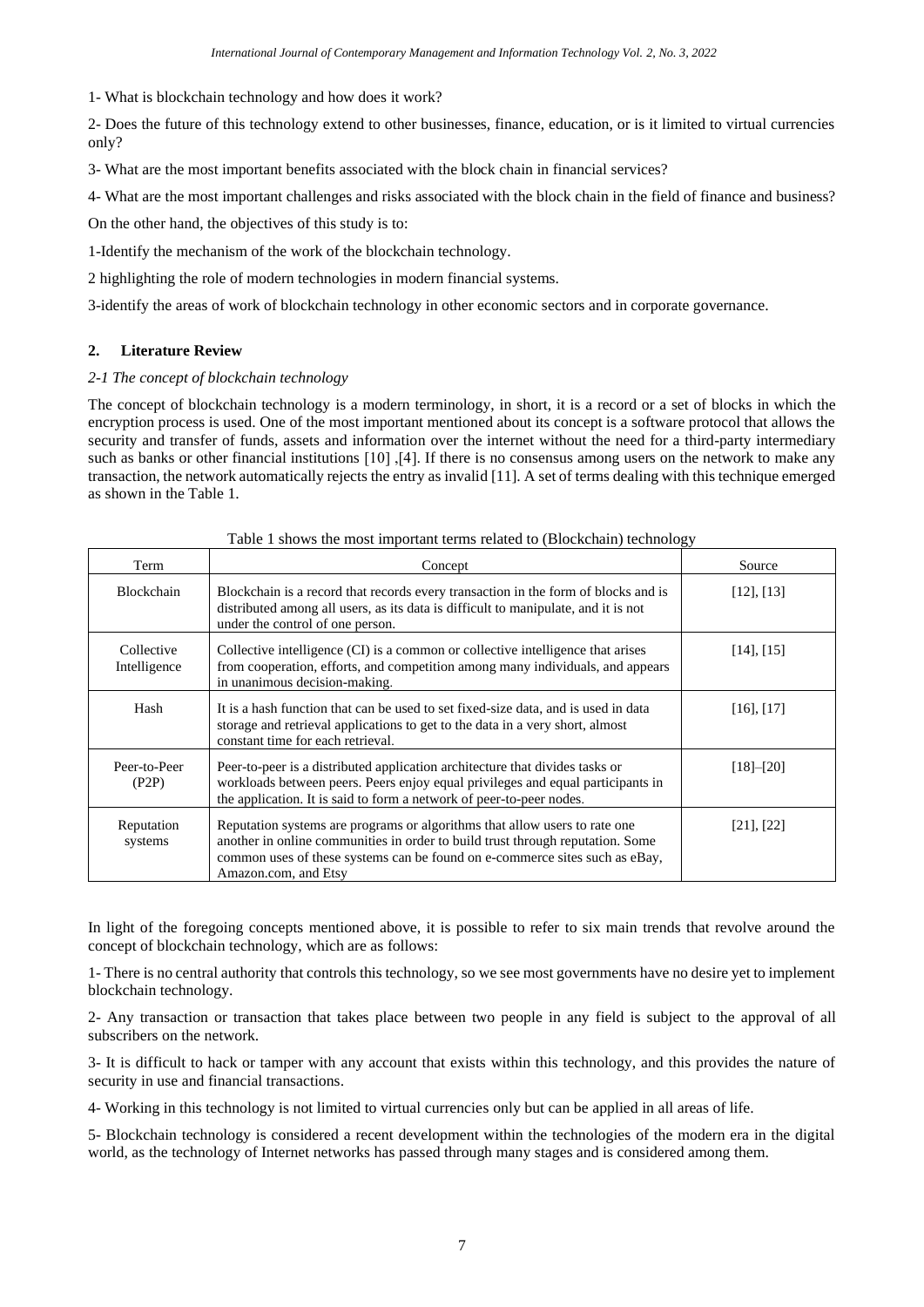1- What is blockchain technology and how does it work?

2- Does the future of this technology extend to other businesses, finance, education, or is it limited to virtual currencies only?

3- What are the most important benefits associated with the block chain in financial services?

4- What are the most important challenges and risks associated with the block chain in the field of finance and business?

On the other hand, the objectives of this study is to:

1-Identify the mechanism of the work of the blockchain technology.

2 highlighting the role of modern technologies in modern financial systems.

3-identify the areas of work of blockchain technology in other economic sectors and in corporate governance.

### **2. Literature Review**

#### *2-1 The concept of blockchain technology*

The concept of blockchain technology is a modern terminology, in short, it is a record or a set of blocks in which the encryption process is used. One of the most important mentioned about its concept is a software protocol that allows the security and transfer of funds, assets and information over the internet without the need for a third-party intermediary such as banks or other financial institutions  $[10]$ ,  $[4]$ . If there is no consensus among users on the network to make any transaction, the network automatically rejects the entry as invalid [11]. A set of terms dealing with this technique emerged as shown in the Table 1.

| Term                       | Concept                                                                                                                                                                                                                                                             | Source          |
|----------------------------|---------------------------------------------------------------------------------------------------------------------------------------------------------------------------------------------------------------------------------------------------------------------|-----------------|
| Blockchain                 | Blockchain is a record that records every transaction in the form of blocks and is<br>distributed among all users, as its data is difficult to manipulate, and it is not<br>under the control of one person.                                                        | $[12]$ , $[13]$ |
| Collective<br>Intelligence | Collective intelligence (CI) is a common or collective intelligence that arises<br>from cooperation, efforts, and competition among many individuals, and appears<br>in unanimous decision-making.                                                                  | [14], [15]      |
| Hash                       | It is a hash function that can be used to set fixed-size data, and is used in data<br>storage and retrieval applications to get to the data in a very short, almost<br>constant time for each retrieval.                                                            | [16], [17]      |
| Peer-to-Peer<br>(P2P)      | Peer-to-peer is a distributed application architecture that divides tasks or<br>workloads between peers. Peers enjoy equal privileges and equal participants in<br>the application. It is said to form a network of peer-to-peer nodes.                             | $[18]-[20]$     |
| Reputation<br>systems      | Reputation systems are programs or algorithms that allow users to rate one<br>another in online communities in order to build trust through reputation. Some<br>common uses of these systems can be found on e-commerce sites such as eBay,<br>Amazon.com, and Etsy | $[21]$ , $[22]$ |

#### Table 1 shows the most important terms related to (Blockchain) technology

In light of the foregoing concepts mentioned above, it is possible to refer to six main trends that revolve around the concept of blockchain technology, which are as follows:

1- There is no central authority that controls this technology, so we see most governments have no desire yet to implement blockchain technology.

2- Any transaction or transaction that takes place between two people in any field is subject to the approval of all subscribers on the network.

3- It is difficult to hack or tamper with any account that exists within this technology, and this provides the nature of security in use and financial transactions.

4- Working in this technology is not limited to virtual currencies only but can be applied in all areas of life.

5- Blockchain technology is considered a recent development within the technologies of the modern era in the digital world, as the technology of Internet networks has passed through many stages and is considered among them.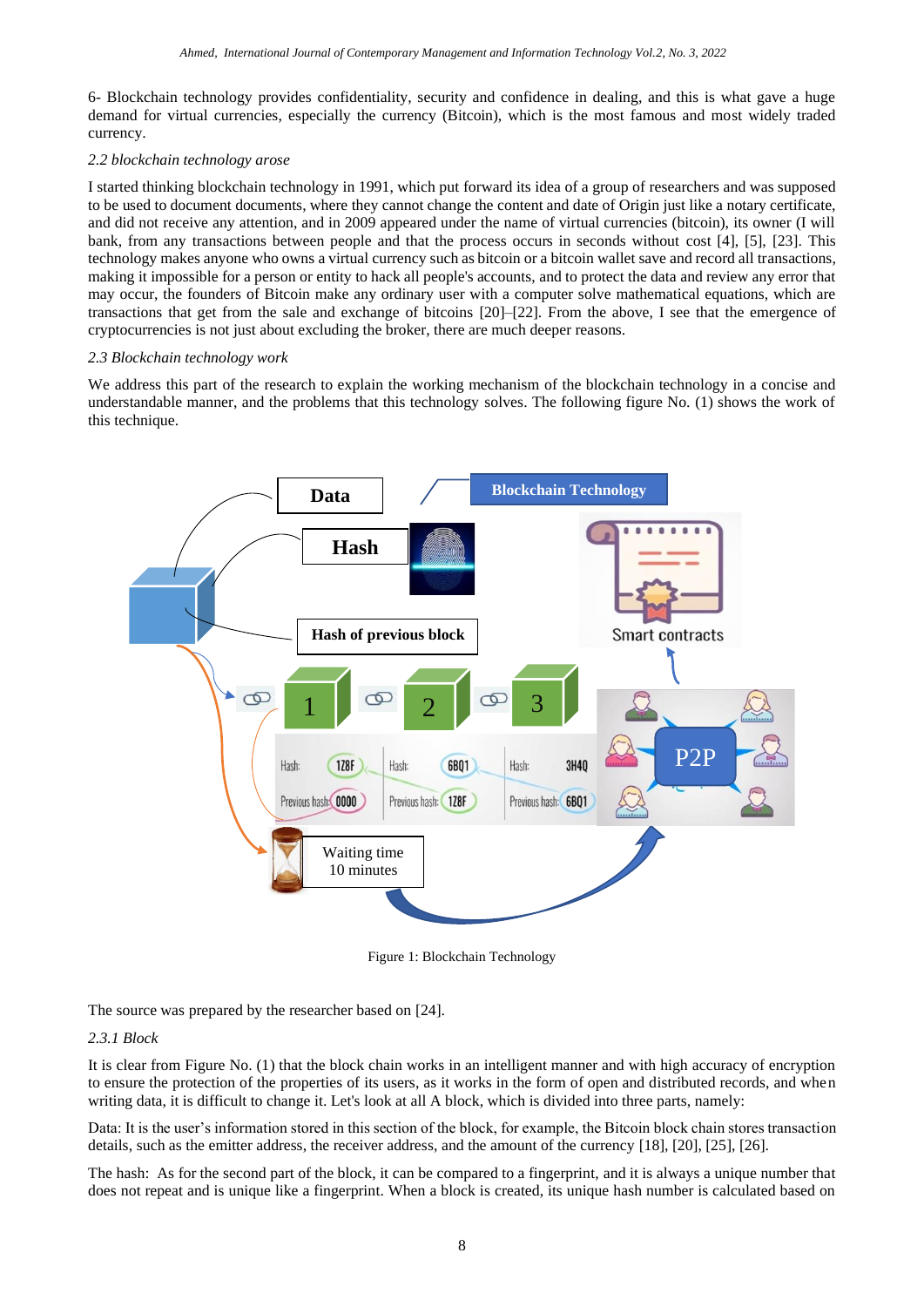6- Blockchain technology provides confidentiality, security and confidence in dealing, and this is what gave a huge demand for virtual currencies, especially the currency (Bitcoin), which is the most famous and most widely traded currency.

#### *2.2 blockchain technology arose*

I started thinking blockchain technology in 1991, which put forward its idea of a group of researchers and was supposed to be used to document documents, where they cannot change the content and date of Origin just like a notary certificate, and did not receive any attention, and in 2009 appeared under the name of virtual currencies (bitcoin), its owner (I will bank, from any transactions between people and that the process occurs in seconds without cost [4], [5], [23]. This technology makes anyone who owns a virtual currency such as bitcoin or a bitcoin wallet save and record all transactions, making it impossible for a person or entity to hack all people's accounts, and to protect the data and review any error that may occur, the founders of Bitcoin make any ordinary user with a computer solve mathematical equations, which are transactions that get from the sale and exchange of bitcoins [20]–[22]. From the above, I see that the emergence of cryptocurrencies is not just about excluding the broker, there are much deeper reasons.

#### *2.3 Blockchain technology work*

We address this part of the research to explain the working mechanism of the blockchain technology in a concise and understandable manner, and the problems that this technology solves. The following figure No. (1) shows the work of this technique.



Figure 1: Blockchain Technology

The source was prepared by the researcher based on [24].

### *2.3.1 Block*

It is clear from Figure No. (1) that the block chain works in an intelligent manner and with high accuracy of encryption to ensure the protection of the properties of its users, as it works in the form of open and distributed records, and when writing data, it is difficult to change it. Let's look at all A block, which is divided into three parts, namely:

Data: It is the user's information stored in this section of the block, for example, the Bitcoin block chain stores transaction details, such as the emitter address, the receiver address, and the amount of the currency [18], [20], [25], [26].

The hash: As for the second part of the block, it can be compared to a fingerprint, and it is always a unique number that does not repeat and is unique like a fingerprint. When a block is created, its unique hash number is calculated based on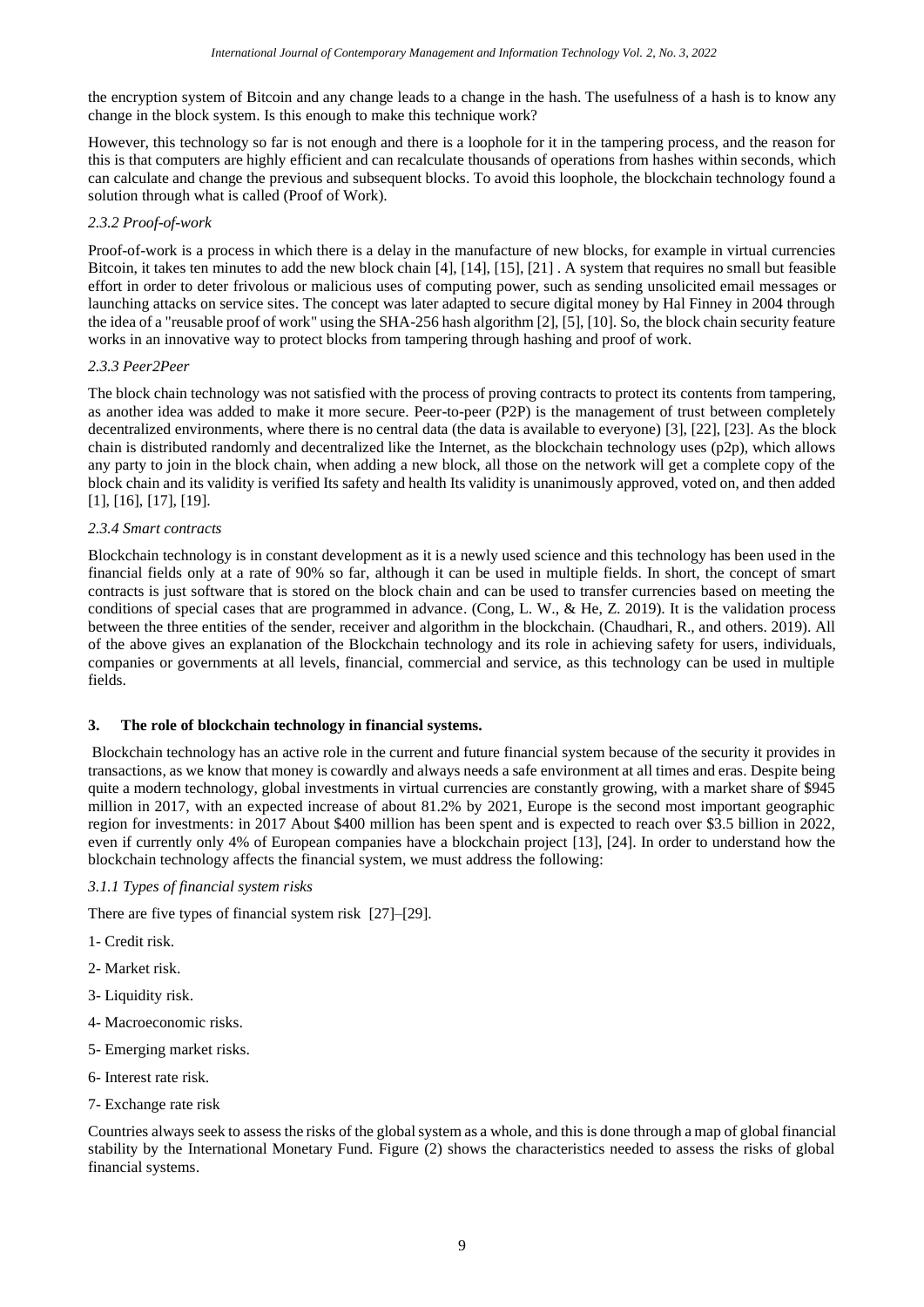the encryption system of Bitcoin and any change leads to a change in the hash. The usefulness of a hash is to know any change in the block system. Is this enough to make this technique work?

However, this technology so far is not enough and there is a loophole for it in the tampering process, and the reason for this is that computers are highly efficient and can recalculate thousands of operations from hashes within seconds, which can calculate and change the previous and subsequent blocks. To avoid this loophole, the blockchain technology found a solution through what is called (Proof of Work).

## *2.3.2 Proof-of-work*

Proof-of-work is a process in which there is a delay in the manufacture of new blocks, for example in virtual currencies Bitcoin, it takes ten minutes to add the new block chain [4], [14], [15], [21] . A system that requires no small but feasible effort in order to deter frivolous or malicious uses of computing power, such as sending unsolicited email messages or launching attacks on service sites. The concept was later adapted to secure digital money by Hal Finney in 2004 through the idea of a "reusable proof of work" using the SHA-256 hash algorithm [2], [5], [10]. So, the block chain security feature works in an innovative way to protect blocks from tampering through hashing and proof of work.

## *2.3.3 Peer2Peer*

The block chain technology was not satisfied with the process of proving contracts to protect its contents from tampering, as another idea was added to make it more secure. Peer-to-peer (P2P) is the management of trust between completely decentralized environments, where there is no central data (the data is available to everyone) [3], [22], [23]. As the block chain is distributed randomly and decentralized like the Internet, as the blockchain technology uses (p2p), which allows any party to join in the block chain, when adding a new block, all those on the network will get a complete copy of the block chain and its validity is verified Its safety and health Its validity is unanimously approved, voted on, and then added [1], [16], [17], [19].

## *2.3.4 Smart contracts*

Blockchain technology is in constant development as it is a newly used science and this technology has been used in the financial fields only at a rate of 90% so far, although it can be used in multiple fields. In short, the concept of smart contracts is just software that is stored on the block chain and can be used to transfer currencies based on meeting the conditions of special cases that are programmed in advance. (Cong, L. W., & He, Z. 2019). It is the validation process between the three entities of the sender, receiver and algorithm in the blockchain. (Chaudhari, R., and others. 2019). All of the above gives an explanation of the Blockchain technology and its role in achieving safety for users, individuals, companies or governments at all levels, financial, commercial and service, as this technology can be used in multiple fields.

## **3. The role of blockchain technology in financial systems.**

Blockchain technology has an active role in the current and future financial system because of the security it provides in transactions, as we know that money is cowardly and always needs a safe environment at all times and eras. Despite being quite a modern technology, global investments in virtual currencies are constantly growing, with a market share of \$945 million in 2017, with an expected increase of about 81.2% by 2021, Europe is the second most important geographic region for investments: in 2017 About \$400 million has been spent and is expected to reach over \$3.5 billion in 2022, even if currently only 4% of European companies have a blockchain project [13], [24]. In order to understand how the blockchain technology affects the financial system, we must address the following:

### *3.1.1 Types of financial system risks*

There are five types of financial system risk [27]–[29].

- 1- Credit risk.
- 2- Market risk.
- 3- Liquidity risk.
- 4- Macroeconomic risks.
- 5- Emerging market risks.
- 6- Interest rate risk.
- 7- Exchange rate risk

Countries always seek to assess the risks of the global system as a whole, and this is done through a map of global financial stability by the International Monetary Fund. Figure (2) shows the characteristics needed to assess the risks of global financial systems.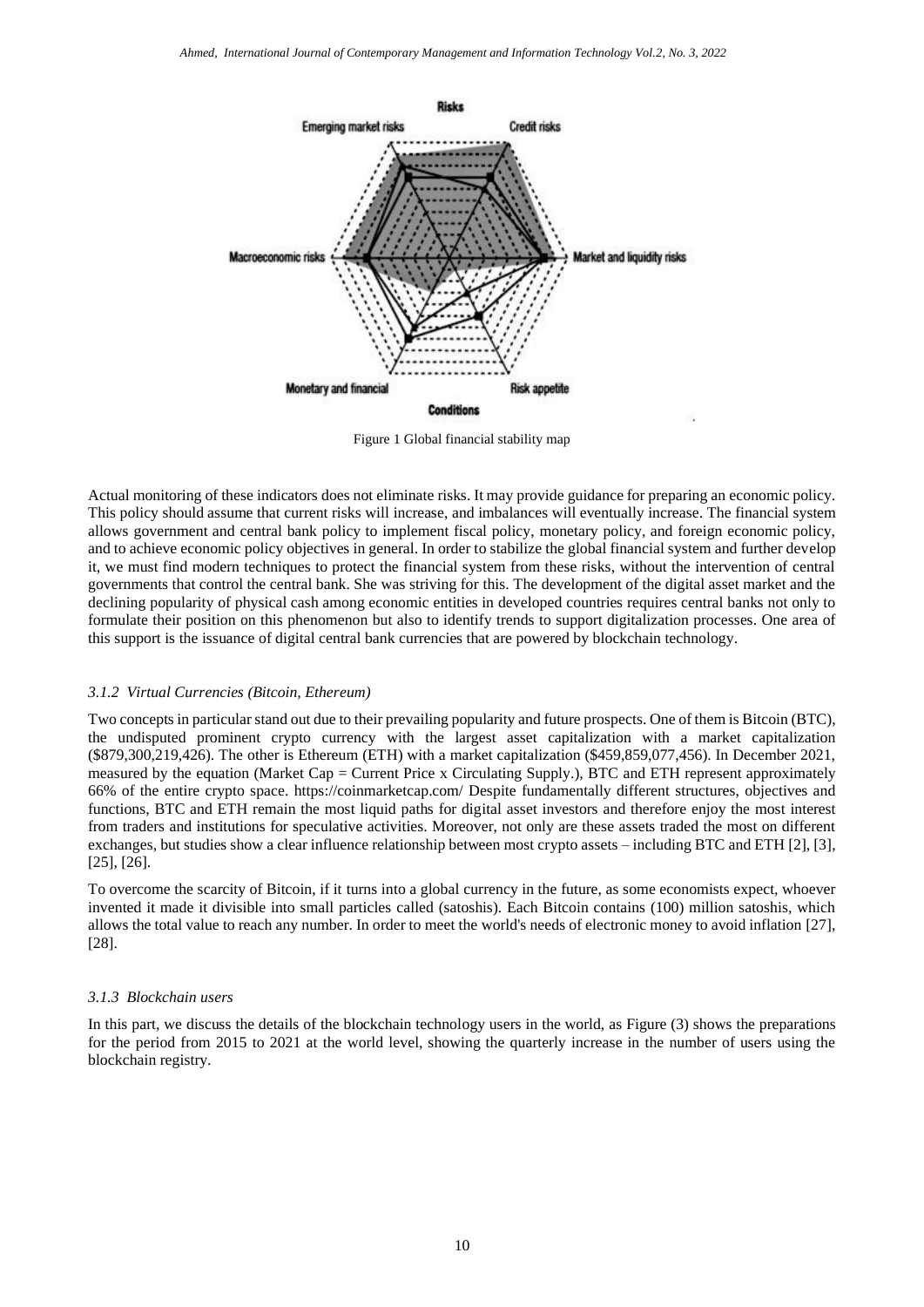

Figure 1 Global financial stability map

Actual monitoring of these indicators does not eliminate risks. It may provide guidance for preparing an economic policy. This policy should assume that current risks will increase, and imbalances will eventually increase. The financial system allows government and central bank policy to implement fiscal policy, monetary policy, and foreign economic policy, and to achieve economic policy objectives in general. In order to stabilize the global financial system and further develop it, we must find modern techniques to protect the financial system from these risks, without the intervention of central governments that control the central bank. She was striving for this. The development of the digital asset market and the declining popularity of physical cash among economic entities in developed countries requires central banks not only to formulate their position on this phenomenon but also to identify trends to support digitalization processes. One area of this support is the issuance of digital central bank currencies that are powered by blockchain technology.

#### *3.1.2 Virtual Currencies (Bitcoin, Ethereum)*

Two concepts in particular stand out due to their prevailing popularity and future prospects. One of them is Bitcoin (BTC), the undisputed prominent crypto currency with the largest asset capitalization with a market capitalization (\$879,300,219,426). The other is Ethereum (ETH) with a market capitalization (\$459,859,077,456). In December 2021, measured by the equation (Market Cap = Current Price x Circulating Supply.), BTC and ETH represent approximately 66% of the entire crypto space. https://coinmarketcap.com/ Despite fundamentally different structures, objectives and functions, BTC and ETH remain the most liquid paths for digital asset investors and therefore enjoy the most interest from traders and institutions for speculative activities. Moreover, not only are these assets traded the most on different exchanges, but studies show a clear influence relationship between most crypto assets – including BTC and ETH [2], [3], [25], [26].

To overcome the scarcity of Bitcoin, if it turns into a global currency in the future, as some economists expect, whoever invented it made it divisible into small particles called (satoshis). Each Bitcoin contains (100) million satoshis, which allows the total value to reach any number. In order to meet the world's needs of electronic money to avoid inflation [27], [28].

#### *3.1.3 Blockchain users*

In this part, we discuss the details of the blockchain technology users in the world, as Figure (3) shows the preparations for the period from 2015 to 2021 at the world level, showing the quarterly increase in the number of users using the blockchain registry.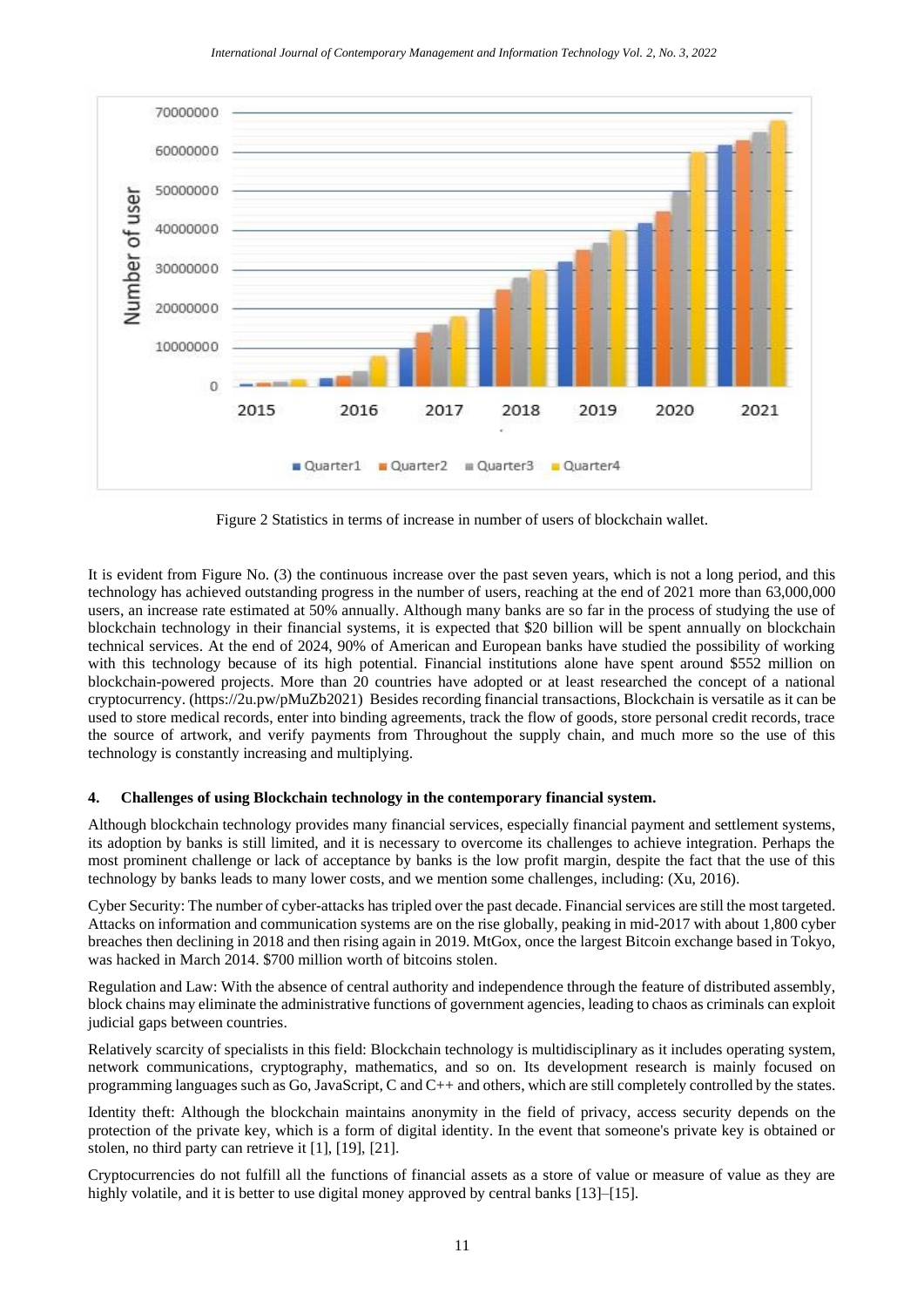

Figure 2 Statistics in terms of increase in number of users of blockchain wallet.

It is evident from Figure No. (3) the continuous increase over the past seven years, which is not a long period, and this technology has achieved outstanding progress in the number of users, reaching at the end of 2021 more than 63,000,000 users, an increase rate estimated at 50% annually. Although many banks are so far in the process of studying the use of blockchain technology in their financial systems, it is expected that \$20 billion will be spent annually on blockchain technical services. At the end of 2024, 90% of American and European banks have studied the possibility of working with this technology because of its high potential. Financial institutions alone have spent around \$552 million on blockchain-powered projects. More than 20 countries have adopted or at least researched the concept of a national cryptocurrency. [\(https://2u.pw/pMuZb2021\)](https://2u.pw/pMuZb2021) Besides recording financial transactions, Blockchain is versatile as it can be used to store medical records, enter into binding agreements, track the flow of goods, store personal credit records, trace the source of artwork, and verify payments from Throughout the supply chain, and much more so the use of this technology is constantly increasing and multiplying.

### **4. Challenges of using Blockchain technology in the contemporary financial system.**

Although blockchain technology provides many financial services, especially financial payment and settlement systems, its adoption by banks is still limited, and it is necessary to overcome its challenges to achieve integration. Perhaps the most prominent challenge or lack of acceptance by banks is the low profit margin, despite the fact that the use of this technology by banks leads to many lower costs, and we mention some challenges, including: (Xu, 2016).

Cyber Security: The number of cyber-attacks has tripled over the past decade. Financial services are still the most targeted. Attacks on information and communication systems are on the rise globally, peaking in mid-2017 with about 1,800 cyber breaches then declining in 2018 and then rising again in 2019. MtGox, once the largest Bitcoin exchange based in Tokyo, was hacked in March 2014. \$700 million worth of bitcoins stolen.

Regulation and Law: With the absence of central authority and independence through the feature of distributed assembly, block chains may eliminate the administrative functions of government agencies, leading to chaos as criminals can exploit judicial gaps between countries.

Relatively scarcity of specialists in this field: Blockchain technology is multidisciplinary as it includes operating system, network communications, cryptography, mathematics, and so on. Its development research is mainly focused on programming languages such as Go, JavaScript, C and C++ and others, which are still completely controlled by the states.

Identity theft: Although the blockchain maintains anonymity in the field of privacy, access security depends on the protection of the private key, which is a form of digital identity. In the event that someone's private key is obtained or stolen, no third party can retrieve it [1], [19], [21].

Cryptocurrencies do not fulfill all the functions of financial assets as a store of value or measure of value as they are highly volatile, and it is better to use digital money approved by central banks [13]–[15].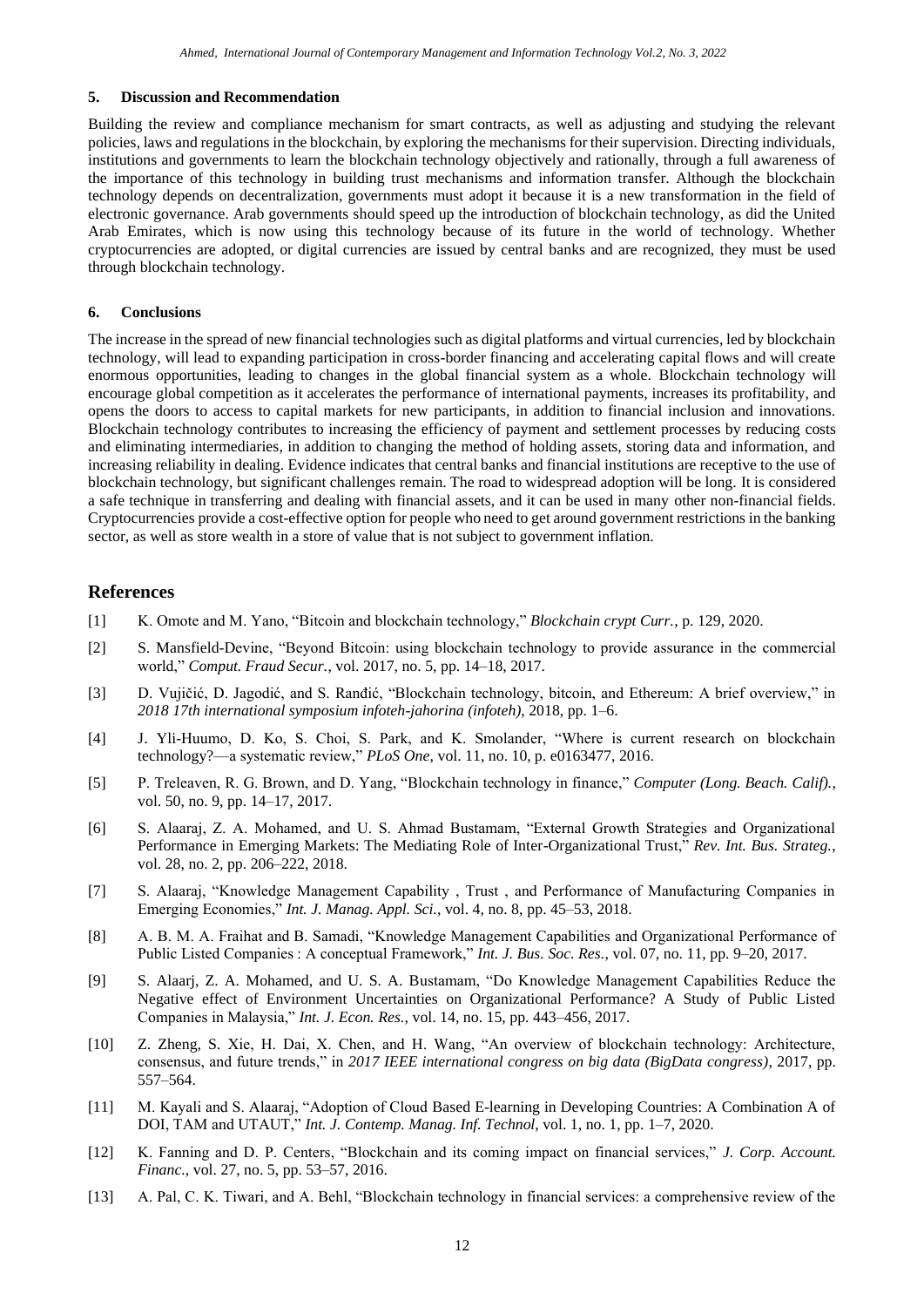#### **5. Discussion and Recommendation**

Building the review and compliance mechanism for smart contracts, as well as adjusting and studying the relevant policies, laws and regulations in the blockchain, by exploring the mechanisms for their supervision. Directing individuals, institutions and governments to learn the blockchain technology objectively and rationally, through a full awareness of the importance of this technology in building trust mechanisms and information transfer. Although the blockchain technology depends on decentralization, governments must adopt it because it is a new transformation in the field of electronic governance. Arab governments should speed up the introduction of blockchain technology, as did the United Arab Emirates, which is now using this technology because of its future in the world of technology. Whether cryptocurrencies are adopted, or digital currencies are issued by central banks and are recognized, they must be used through blockchain technology.

#### **6. Conclusions**

The increase in the spread of new financial technologies such as digital platforms and virtual currencies, led by blockchain technology, will lead to expanding participation in cross-border financing and accelerating capital flows and will create enormous opportunities, leading to changes in the global financial system as a whole. Blockchain technology will encourage global competition as it accelerates the performance of international payments, increases its profitability, and opens the doors to access to capital markets for new participants, in addition to financial inclusion and innovations. Blockchain technology contributes to increasing the efficiency of payment and settlement processes by reducing costs and eliminating intermediaries, in addition to changing the method of holding assets, storing data and information, and increasing reliability in dealing. Evidence indicates that central banks and financial institutions are receptive to the use of blockchain technology, but significant challenges remain. The road to widespread adoption will be long. It is considered a safe technique in transferring and dealing with financial assets, and it can be used in many other non-financial fields. Cryptocurrencies provide a cost-effective option for people who need to get around government restrictions in the banking sector, as well as store wealth in a store of value that is not subject to government inflation.

#### **References**

- [1] K. Omote and M. Yano, "Bitcoin and blockchain technology," *Blockchain crypt Curr.*, p. 129, 2020.
- [2] S. Mansfield-Devine, "Beyond Bitcoin: using blockchain technology to provide assurance in the commercial world," *Comput. Fraud Secur.*, vol. 2017, no. 5, pp. 14–18, 2017.
- [3] D. Vujičić, D. Jagodić, and S. Ranđić, "Blockchain technology, bitcoin, and Ethereum: A brief overview," in *2018 17th international symposium infoteh-jahorina (infoteh)*, 2018, pp. 1–6.
- [4] J. Yli-Huumo, D. Ko, S. Choi, S. Park, and K. Smolander, "Where is current research on blockchain technology?—a systematic review," *PLoS One*, vol. 11, no. 10, p. e0163477, 2016.
- [5] P. Treleaven, R. G. Brown, and D. Yang, "Blockchain technology in finance," *Computer (Long. Beach. Calif).*, vol. 50, no. 9, pp. 14–17, 2017.
- [6] S. Alaaraj, Z. A. Mohamed, and U. S. Ahmad Bustamam, "External Growth Strategies and Organizational Performance in Emerging Markets: The Mediating Role of Inter-Organizational Trust," *Rev. Int. Bus. Strateg.*, vol. 28, no. 2, pp. 206–222, 2018.
- [7] S. Alaaraj, "Knowledge Management Capability , Trust , and Performance of Manufacturing Companies in Emerging Economies," *Int. J. Manag. Appl. Sci.*, vol. 4, no. 8, pp. 45–53, 2018.
- [8] A. B. M. A. Fraihat and B. Samadi, "Knowledge Management Capabilities and Organizational Performance of Public Listed Companies : A conceptual Framework," *Int. J. Bus. Soc. Res.*, vol. 07, no. 11, pp. 9–20, 2017.
- [9] S. Alaarj, Z. A. Mohamed, and U. S. A. Bustamam, "Do Knowledge Management Capabilities Reduce the Negative effect of Environment Uncertainties on Organizational Performance? A Study of Public Listed Companies in Malaysia," *Int. J. Econ. Res.*, vol. 14, no. 15, pp. 443–456, 2017.
- [10] Z. Zheng, S. Xie, H. Dai, X. Chen, and H. Wang, "An overview of blockchain technology: Architecture, consensus, and future trends," in *2017 IEEE international congress on big data (BigData congress)*, 2017, pp. 557–564.
- [11] M. Kayali and S. Alaaraj, "Adoption of Cloud Based E-learning in Developing Countries: A Combination A of DOI, TAM and UTAUT," *Int. J. Contemp. Manag. Inf. Technol*, vol. 1, no. 1, pp. 1–7, 2020.
- [12] K. Fanning and D. P. Centers, "Blockchain and its coming impact on financial services," *J. Corp. Account. Financ.*, vol. 27, no. 5, pp. 53–57, 2016.
- [13] A. Pal, C. K. Tiwari, and A. Behl, "Blockchain technology in financial services: a comprehensive review of the